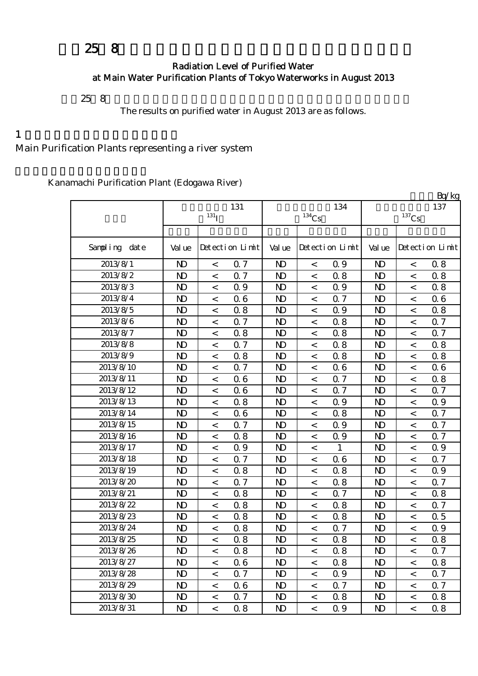# $258$

### Radiation Level of Purified Water at Main Water Purification Plants of Tokyo Waterworks in August 2013

平成25年8月の主要浄水場の浄水(水道水)の放射能測定結果をお知らせします。

The results on purified water in August 2013 are as follows.

#### $1$

Main Purification Plants representing a river system

Kanamachi Purification Plant (Edogawa River)

|               |                |                          |                 |                |                     |                 |                |                     | Bq/kg           |
|---------------|----------------|--------------------------|-----------------|----------------|---------------------|-----------------|----------------|---------------------|-----------------|
|               |                |                          | 131             |                |                     | 134             |                |                     | 137             |
|               |                | $131$ <sup>T</sup>       |                 |                | $^{134}\mathrm{Cs}$ |                 |                | $^{137}\mathrm{Cs}$ |                 |
|               |                |                          |                 |                |                     |                 |                |                     |                 |
| Sampling date | Val ue         |                          | Detection Limit | Val ue         |                     | Detection Limit | Val ue         |                     | Detection Limit |
| 2013/8/1      | $\mathbf{D}$   | $\,<$                    | 0.7             | N <sub>D</sub> | $\,<\,$             | 0.9             | $\mathbf{D}$   | $\,<$               | 0.8             |
| 2013/8/2      | $\mathbf{D}$   | $\,<$                    | 0.7             | $\mathbf{D}$   | $\,<\,$             | 0.8             | $\mathbf{D}$   | $\,<$               | 0.8             |
| 2013/8/3      | $\mathbf{D}$   | $\,<$                    | 0.9             | $\mathbf{D}$   | $\,<$               | 0.9             | $\mathbf{D}$   | $\,<$               | 0.8             |
| 2013/8/4      | $\mathbf{D}$   | $\,<$                    | 06              | $\mathbf{D}$   | $\,<$               | 0.7             | $\mathbf{D}$   | $\,<$               | 0.6             |
| 2013/8/5      | N <sub>D</sub> | $\,<$                    | 0.8             | N <sub>D</sub> | $\,<$               | 0.9             | $\mathbf{D}$   | $\overline{a}$      | 0.8             |
| 2013/8/6      | N <sub>D</sub> | $\,<$                    | 0.7             | N <sub>D</sub> | $\,<$               | 0.8             | $\mathbf{D}$   | $\,<$               | 0.7             |
| 2013/8/7      | $\mathbf{D}$   | $\,<\,$                  | 0.8             | $\mathbf{D}$   | $\,<$               | 0.8             | $\mathbf{D}$   | $\,<$               | <b>Q</b> 7      |
| 2013/8/8      | $\mathbf{D}$   | $\,<$                    | 0.7             | N <sub>D</sub> | $\,<$               | 0.8             | $\mathbf{D}$   | $\,<$               | 0.8             |
| 2013/8/9      | $\mathbf{D}$   | $\,<$                    | 0.8             | N <sub>D</sub> | $\,<$               | 0.8             | $\mathbf{D}$   | $\lt$               | 0.8             |
| 2013/8/10     | $\mathbf{D}$   | $\,<$                    | 0.7             | N <sub>D</sub> | $\,<$               | 06              | $\mathbf{D}$   | $\lt$               | 0.6             |
| 2013/8/11     | $\mathbf{D}$   | $\,<$                    | 06              | $\mathbf{D}$   | $\,<$               | 0.7             | N <sub>D</sub> | $\,<\,$             | 0.8             |
| 2013/8/12     | $\mathbf{D}$   | $\,<$                    | 06              | $\mathbf{D}$   | $\,<\,$             | Q 7             | $\mathbf{D}$   | $\,<$               | 0.7             |
| 2013/8/13     | $\mathbf{D}$   | $\,<$                    | 0.8             | N <sub>D</sub> | $\,<$               | 0.9             | N <sub>D</sub> | $\lt$               | 0.9             |
| 2013/8/14     | $\mathbf{D}$   | $\,<$                    | 06              | N <sub>D</sub> | $\,<$               | 0.8             | $\mathbf{D}$   | $\,<$               | 0.7             |
| 2013/8/15     | $\mathbf{D}$   | $\,<$                    | 0.7             | $\mathbf{D}$   | $\,<$               | 0.9             | $\mathbf{D}$   | $\,<$               | 0.7             |
| 2013/8/16     | $\mathbf{D}$   | $\,<$                    | 0.8             | N <sub>D</sub> | $\,<$               | 0.9             | $\mathbf{D}$   | $\,<$               | 0.7             |
| 2013/8/17     | $\mathbf{D}$   | $\,<$                    | 0.9             | N <sub>D</sub> | $\,<$               | $\mathbf{1}$    | $\mathbf{D}$   | $\,<$               | 0.9             |
| 2013/8/18     | N <sub>D</sub> | $\overline{a}$           | 0.7             | N <sub>D</sub> | $\,<$               | 06              | $\mathbf{D}$   | $\overline{a}$      | 0.7             |
| 2013/8/19     | $\mathbf{D}$   | $\,<$                    | 0.8             | N <sub>D</sub> | $\,<$               | 0.8             | $\mathbf{D}$   | $\,<$               | 0.9             |
| 2013/8/20     | $\mathbf{D}$   | $\overline{\phantom{a}}$ | 0.7             | $\mathbf{D}$   | $\,<$               | 0.8             | $\mathbf{D}$   | $\,<$               | <b>Q</b> 7      |
| 2013/8/21     | $\mathbf{D}$   | $\overline{\phantom{a}}$ | 0.8             | N <sub>D</sub> | $\,<$               | Q 7             | N <sub>D</sub> | $\,<$               | 0.8             |
| 2013/8/22     | $\mathbf{D}$   | $\,<$                    | 0.8             | N <sub>D</sub> | $\,<\,$             | 0.8             | $\mathbf{D}$   | $\lt$               | 0.7             |
| 2013/8/23     | $\mathbf{D}$   | $\,<$                    | 0.8             | N <sub>D</sub> | $\,<$               | 0.8             | $\mathbf{D}$   | $\,<$               | 0.5             |
| 2013/8/24     | $\mathbf{D}$   | $\,<$                    | 0.8             | $\mathbf{D}$   | $\,<$               | Q 7             | $\mathbf{D}$   | $\,<$               | 0.9             |
| 2013/8/25     | N <sub>D</sub> | $\,<$                    | 0.8             | N <sub>D</sub> | $\,<$               | 0.8             | N <sub>D</sub> | $\,<$               | 0.8             |
| 2013/8/26     | $\mathbf{D}$   | $\,<\,$                  | 0.8             | $\mathbf{D}$   | $\,<\,$             | 0.8             | $\mathbf{D}$   | $\,<\,$             | 0.7             |
| 2013/8/27     | N)             | $\,<\,$                  | 06              | N <sub>D</sub> | $\,<\,$             | 0.8             | N <sub>D</sub> | $\,<\,$             | 0.8             |
| 2013/8/28     | $\mathbf{D}$   | $\,<\,$                  | 0.7             | N <sub>D</sub> | $\,<$               | 0.9             | $\mathbf{D}$   | $\,<$               | 0.7             |
| 2013/8/29     | N <sub>D</sub> | $\,<\,$                  | 06              | ND.            | $\,<$               | 0.7             | N <sub>D</sub> | $\,<$               | 0.7             |
| 2013/8/30     | N <sub>D</sub> | $\,<\,$                  | 0.7             | ND.            | $\,<\,$             | 0.8             | N <sub>D</sub> | $\,<$               | 0.8             |
| 2013/8/31     | ND.            | $\,<\,$                  | 0.8             | ND.            | $\,<$               | 0.9             | N <sub>D</sub> | $\,<\,$             | 0.8             |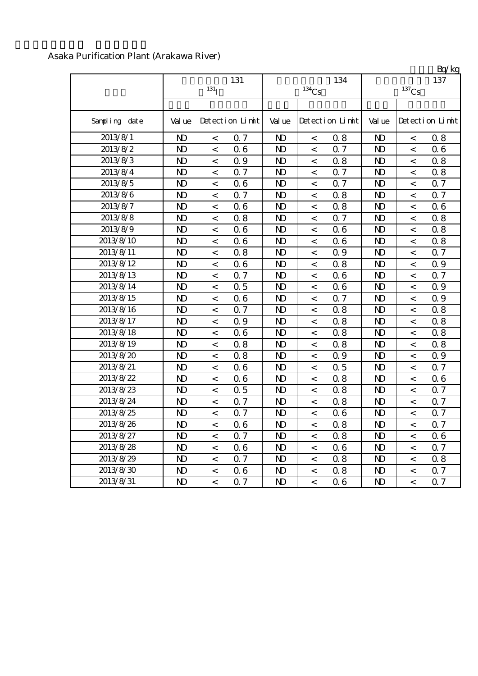| Asaka Purification Plant (Arakawa River) |  |
|------------------------------------------|--|
|------------------------------------------|--|

|               |                | $131$ <sup>T</sup>       | 131             |                | $^{134}\mathrm{Cs}$      | 134             |                | $^{137}\mathrm{Cs}$      | $L_V$ ng<br>137 |
|---------------|----------------|--------------------------|-----------------|----------------|--------------------------|-----------------|----------------|--------------------------|-----------------|
| Sampling date | Val ue         |                          | Detection Limit | Val ue         |                          | Detection Limit | Val ue         |                          | Detection Limit |
| 2013/8/1      | $\mathbf{D}$   | $\,<$                    | 0.7             | N <sub>D</sub> | $\,<\,$                  | 0.8             | N <sub>D</sub> | $\,<$                    | 0.8             |
| 2013/8/2      | $\mathbf{D}$   | $\,<$                    | 06              | $\mathbf{D}$   | $\,<$                    | Q 7             | $\mathbf{D}$   | $\,<\,$                  | 0.6             |
| 2013/8/3      | $\mathbf{D}$   | $\,<$                    | Q 9             | $\mathbf{D}$   | $\,<$                    | 0.8             | $\mathbf{D}$   | $\,<\,$                  | 0.8             |
| 2013/8/4      | $\mathbf{D}$   | $\overline{\phantom{a}}$ | 0.7             | N <sub>D</sub> | $\,<$                    | 0.7             | $\mathbf{D}$   | $\overline{\phantom{0}}$ | 0.8             |
| 2013/8/5      | $\mathbf{N}$   | $\,<\,$                  | 06              | N <sub>D</sub> | $\,<\,$                  | 0.7             | $\mathbf{D}$   | $\,<\,$                  | 0.7             |
| 2013/8/6      | $\mathbf{D}$   | $\,<\,$                  | 0.7             | N <sub>D</sub> | $\,<$                    | 0.8             | $\mathbf{D}$   | $\,<$                    | 0.7             |
| 2013/8/7      | $\mathbf{N}$   | $\,<\,$                  | 06              | $\mathbf{D}$   | $\,<\,$                  | 0.8             | N <sub>D</sub> | $\,<$                    | 0.6             |
| 2013/8/8      | $\mathbf{D}$   | $\,<\,$                  | 0.8             | $\mathbf{D}$   | $\,<\,$                  | Q 7             | $\mathbf{D}$   | $\,<$                    | 0.8             |
| 2013/8/9      | $\mathbf{D}$   | $\,<$                    | 06              | $\mathbf{D}$   | $\,<$                    | 06              | $\mathbf{D}$   | $\,<$                    | 0.8             |
| 2013/8/10     | $\mathbf{D}$   | $\,<\,$                  | 06              | $\mathbf{D}$   | $\,<\,$                  | 06              | $\mathbf{D}$   | $\,<$                    | 0.8             |
| 2013/8/11     | $\mathbf{D}$   | $\lt$                    | 0.8             | N <sub>D</sub> | $\,<\,$                  | Q 9             | $\mathbf{D}$   | $\,<$                    | 0.7             |
| 2013/8/12     | $\mathbf{D}$   | $\,<\,$                  | 06              | $\mathbf{D}$   | $\overline{\phantom{0}}$ | 0.8             | $\mathbf{D}$   | $\overline{a}$           | Q 9             |
| 2013/8/13     | $\mathbf{D}$   | $\,<$                    | 0.7             | $\mathbf{D}$   | $\,<$                    | 06              | N <sub>D</sub> | $\,<$                    | 0.7             |
| 2013/8/14     | $\mathbf{D}$   | $\overline{\phantom{a}}$ | 0.5             | N <sub>D</sub> | $\overline{\phantom{0}}$ | 06              | $\mathbf{D}$   | $\overline{a}$           | 0.9             |
| 2013/8/15     | $\mathbf{N}$   | $\lt$                    | 06              | $\mathbf{D}$   | $\overline{\phantom{0}}$ | Q <sub>7</sub>  | $\mathbf{D}$   | $\,<$                    | 0.9             |
| 2013/8/16     | $\mathbf{N}$   | $\,<\,$                  | 0.7             | N <sub>D</sub> | $\,<\,$                  | 0.8             | N <sub>D</sub> | $\,<$                    | 0.8             |
| 2013/8/17     | N <sub>D</sub> | $\,<$                    | Q 9             | N <sub>D</sub> | $\,<$                    | 0.8             | N <sub>D</sub> | $\,<$                    | 0.8             |
| 2013/8/18     | $\mathbf{D}$   | $\lt$                    | 06              | $\mathbf{D}$   | $\,<$                    | 0.8             | N <sub>D</sub> | $\,<\,$                  | 0.8             |
| 2013/8/19     | $\mathbf{D}$   | $\,<$                    | 0.8             | $\mathbf{D}$   | $\,<$                    | 0.8             | $\mathbf{D}$   | $\,<\,$                  | 0.8             |
| 2013/8/20     | $\mathbf{D}$   | $\,<$                    | 0.8             | $\mathbf{D}$   | $\,<\,$                  | Q 9             | $\mathbf{D}$   | $\,<\,$                  | 0.9             |
| 2013/8/21     | $\mathbf{D}$   | $\,<\,$                  | 06              | $\mathbf{D}$   | $\,<\,$                  | 0.5             | $\mathbf{D}$   | $\,<\,$                  | 0.7             |
| 2013/8/22     | $\mathbf{D}$   | $\,<$                    | 06              | $\mathbf{D}$   | $\,<$                    | 0.8             | $\mathbf{D}$   | $\,<\,$                  | 0.6             |
| 2013/8/23     | $\mathbf{D}$   | $\,<$                    | 0.5             | $\mathbf{D}$   | $\,<$                    | 0.8             | $\mathbf{D}$   | $\,<$                    | 0.7             |
| 2013/8/24     | $\mathbf{N}$   | $\,<\,$                  | 0.7             | $\mathbf{D}$   | $\,<\,$                  | 0.8             | $\mathbf{D}$   | $\,<\,$                  | 0.7             |
| 2013/8/25     | $\mathbf{D}$   | $\overline{\phantom{0}}$ | 0.7             | N <sub>D</sub> | $\,<$                    | 06              | $\mathbf{D}$   | $\,<$                    | 0.7             |
| 2013/8/26     | $\mathbf{N}$   | $\,<$                    | 06              | $\mathbf{D}$   | $\,<\,$                  | 0.8             | $\mathbf{D}$   | $\,<$                    | 0.7             |
| 2013/8/27     | $\mathbf{D}$   | $\,<\,$                  | 0.7             | $\mathbf{D}$   | $\,<$                    | 0.8             | $\mathbf{D}$   | $\,<$                    | 0.6             |
| 2013/8/28     | N <sub>D</sub> | $\,<$                    | 06              | $\mathbf{D}$   | $\,<\,$                  | 06              | $\mathbf{D}$   | $\,<$                    | $0.7\,$         |
| 2013/8/29     | $\mathbf{D}$   | $\,<$                    | Q 7             | $\mathbf{D}$   | $\,<\,$                  | 0.8             | $\mathbf{D}$   | $\,<$                    | 0.8             |
| 2013/8/30     | $\mathbf{D}$   | $\,<$                    | 06              | $\mathbf{D}$   | $\,<$                    | 0.8             | $\mathbf{D}$   | $\,<$                    | 0.7             |
| 2013/8/31     | $\mathbf{D}$   | $\overline{a}$           | 0.7             | N <sub>D</sub> | $\prec$                  | 06              | $\mathbf{D}$   | $\overline{a}$           | 0.7             |

 $Rn/kg$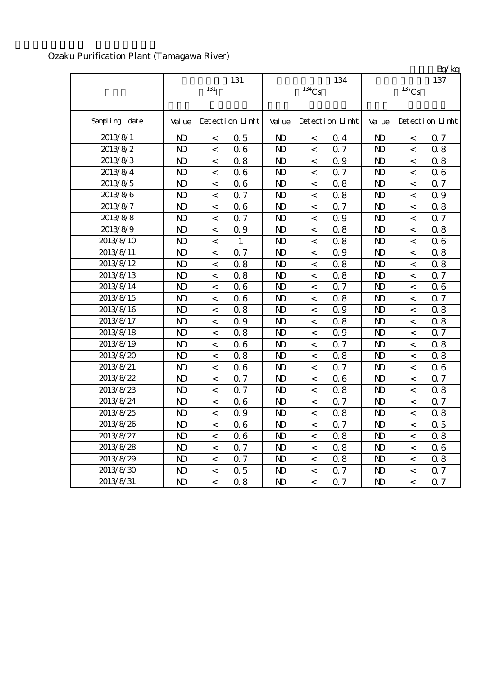| Ozaku Purification Plant (Tamagawa River) |
|-------------------------------------------|
|-------------------------------------------|

|               |                | 131<br>131 <sub>I</sub>  |                 |                | $^{134}\mathrm{Cs}$      | 134             |                | $\mathbf{L}$ y ng<br>137 |                 |
|---------------|----------------|--------------------------|-----------------|----------------|--------------------------|-----------------|----------------|--------------------------|-----------------|
| Sampling date | Val ue         |                          | Detection Limit | Val ue         |                          | Detection Limit | Val ue         |                          | Detection Limit |
| 2013/8/1      | $\mathbf{D}$   | $\,<$                    | 0.5             | $\mathbf{D}$   | $\,<$                    | 0.4             | $\mathbf{D}$   | $\,<$                    | 0.7             |
| 2013/8/2      | $\mathbf{N}$   | $\,<\,$                  | 06              | $\mathbf{D}$   | $\,<\,$                  | 0.7             | N <sub>D</sub> | $\overline{\phantom{0}}$ | 0.8             |
| 2013/8/3      | $\mathbf{D}$   | $\,<$                    | 0.8             | N <sub>D</sub> | $\,<$                    | Q 9             | $\mathbf{D}$   | $\,<\,$                  | 0.8             |
| 2013/8/4      | $\mathbf{D}$   | $\,<$                    | 06              | N <sub>D</sub> | $\,<$                    | 0.7             | $\mathbf{D}$   | $\,<$                    | 0.6             |
| 2013/8/5      | $\mathbf{D}$   | $\,<\,$                  | 06              | $\mathbf{D}$   | $\overline{\phantom{0}}$ | 0.8             | $\mathbf{D}$   | $\,<\,$                  | 0.7             |
| 2013/8/6      | $\mathbf{D}$   | $\,<$                    | 0.7             | N <sub>D</sub> | $\,<$                    | 0.8             | $\mathbf{D}$   | $\,<$                    | 0.9             |
| 2013/8/7      | $\mathbf{D}$   | $\,<\,$                  | 06              | N <sub>D</sub> | $\,<\,$                  | 0.7             | N <sub>D</sub> | $\,<$                    | 0.8             |
| 2013/8/8      | $\mathbf{D}$   | $\,<\,$                  | 0.7             | $\mathbf{D}$   | $\,<\,$                  | 0.9             | $\mathbf{D}$   | $\,<$                    | <b>Q</b> 7      |
| 2013/8/9      | $\mathbf{D}$   | $\,<$                    | 0.9             | $\mathbf{D}$   | $\,<\,$                  | 0.8             | $\mathbf{D}$   | $\,<$                    | 0.8             |
| 2013/8/10     | $\mathbf{D}$   | $\,<$                    | $\mathbf{1}$    | $\mathbf{D}$   | $\,<\,$                  | 0.8             | $\mathbf{D}$   | $\,<$                    | 0.6             |
| 2013/8/11     | N <sub>D</sub> | $\,<$                    | 0.7             | $\mathbf{N}$   | $\,<\,$                  | Q 9             | $\mathbf{D}$   | $\,<$                    | 0.8             |
| 2013/8/12     | $\mathbf{D}$   | $\,<$                    | 0.8             | $\mathbf{D}$   | $\,<\,$                  | 0.8             | $\mathbf{D}$   | $\,<$                    | 0.8             |
| 2013/8/13     | $\mathbf{D}$   | $\overline{\phantom{a}}$ | 0.8             | $\mathbf{D}$   | $\,<\,$                  | 0.8             | $\mathbf{D}$   | $\overline{\phantom{a}}$ | 0.7             |
| 2013/8/14     | $\mathbf{N}$   | $\overline{\phantom{0}}$ | 06              | $\mathbf{D}$   | $\overline{\phantom{0}}$ | 0.7             | $\mathbf{D}$   | $\overline{\phantom{a}}$ | 06              |
| 2013/8/15     | $\mathbf{D}$   | $\,<$                    | 06              | $\mathbf{D}$   | $\,<\,$                  | 0.8             | $\mathbf{D}$   | $\,<$                    | 0.7             |
| 2013/8/16     | $\mathbf{D}$   | $\,<\,$                  | 0.8             | $\mathbf{D}$   | $\,<\,$                  | Q 9             | $\mathbf{D}$   | $\,<$                    | 0.8             |
| 2013/8/17     | N <sub>D</sub> | $\,<\,$                  | Q 9             | N <sub>D</sub> | $\,<\,$                  | 0.8             | N <sub>D</sub> | $\,<\,$                  | 0.8             |
| 2013/8/18     | N <sub>D</sub> | $\,<$                    | 0.8             | N <sub>D</sub> | $\,<\,$                  | Q 9             | N <sub>D</sub> | $\,<\,$                  | 0.7             |
| 2013/8/19     | $\mathbf{D}$   | $\lt$                    | 06              | $\mathbf{D}$   | $\,<$                    | Q 7             | N <sub>D</sub> | $\,<\,$                  | 0.8             |
| 2013/8/20     | $\mathbf{D}$   | $\,<\,$                  | 0.8             | $\mathbf{D}$   | $\,<$                    | 0.8             | $\mathbf{D}$   | $\,<\,$                  | 0.8             |
| 2013/8/21     | $\mathbf{D}$   | $\,<\,$                  | 06              | $\mathbf{D}$   | $\,<\,$                  | Q 7             | $\mathbf{D}$   | $\,<\,$                  | 0.6             |
| 2013/8/22     | $\mathbf{D}$   | $\,<\,$                  | 0.7             | $\mathbf{D}$   | $\,<\,$                  | 06              | $\mathbf{D}$   | $\,<\,$                  | 0.7             |
| 2013/8/23     | $\mathbf{N}$   | $\,<\,$                  | 0.7             | $\mathbf{D}$   | $\,<\,$                  | 0.8             | N <sub>D</sub> | $\,<\,$                  | 0.8             |
| 2013/8/24     | $\mathbf{D}$   | $\,<$                    | 06              | $\mathbf{D}$   | $\,<$                    | 0.7             | $\mathbf{D}$   | $\,<$                    | 0.7             |
| 2013/8/25     | $\mathbf{D}$   | $\,<$                    | 0.9             | $\mathbf{D}$   | $\,<\,$                  | 0.8             | $\mathbf{D}$   | $\,<\,$                  | 0.8             |
| 2013/8/26     | $\mathbf{D}$   | $\,<\,$                  | 06              | $\mathbf{D}$   | $\,<\,$                  | 0.7             | $\mathbf{D}$   | $\,<\,$                  | 0.5             |
| 2013/8/27     | $\mathbf{D}$   | $\,<$                    | 06              | N <sub>D</sub> | $\,<\,$                  | 0.8             | N <sub>D</sub> | $\,<$                    | 0.8             |
| 2013/8/28     | $\mathbf{D}$   | $\,<\,$                  | 0.7             | $\mathbf{D}$   | $\,<\,$                  | 0.8             | $\mathbf{D}$   | $\,<\,$                  | 0.6             |
| 2013/8/29     | $\mathbf{D}$   | $\,<$                    | 0.7             | $\mathbf{D}$   | $\,<\,$                  | 0.8             | $\mathbf{D}$   | $\,<$                    | 0.8             |
| 2013/8/30     | $\mathbf{D}$   | $\,<$                    | 0.5             | $\mathbf{D}$   | $\,<$                    | Q 7             | $\mathbf{D}$   | $\,<$                    | 0.7             |
| 2013/8/31     | $\mathbf{D}$   | $\lt$                    | 0.8             | $\mathbf{D}$   | $\,<\,$                  | 0.7             | $\mathbf{D}$   | $\,<\,$                  | 0.7             |

 $R_0/k_0$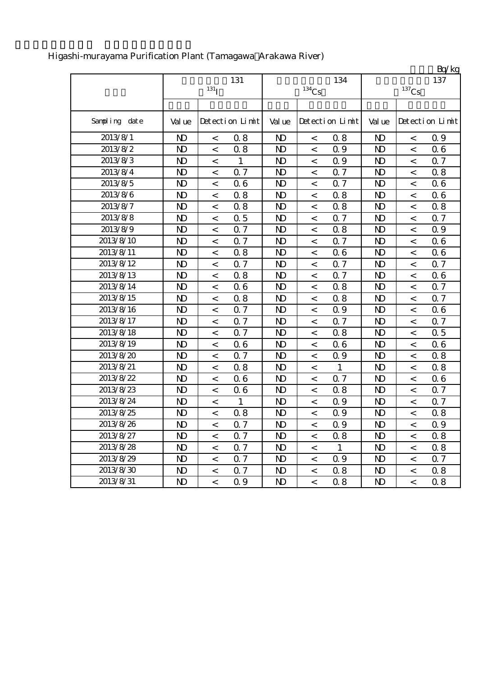|               |                |                          |                 |                |                     |                 |                         |                          | Bq/kg           |
|---------------|----------------|--------------------------|-----------------|----------------|---------------------|-----------------|-------------------------|--------------------------|-----------------|
|               |                |                          | 131             |                |                     | 134             |                         |                          | 137             |
|               |                | $131$ <sup>T</sup>       |                 |                | $^{134}\mathrm{Cs}$ |                 |                         | $^{137}\mathrm{Cs}$      |                 |
|               |                |                          |                 |                |                     |                 |                         |                          |                 |
| Sampling date | Val ue         |                          | Detection Limit | Val ue         |                     | Detection Limit | Val ue                  |                          | Detection Limit |
| 2013/8/1      | $\mathbf{D}$   | $\,<\,$                  | 0.8             | $\mathbf{D}$   | $\,<\,$             | 0.8             | $\mathbf{D}$            | $\,<$                    | 0.9             |
| 2013/8/2      | N <sub>D</sub> | $\,<$                    | 0.8             | N <sub>D</sub> | $\,<$               | 0.9             | N <sub>D</sub>          | $\,<$                    | 0.6             |
| 2013/8/3      | $\mathbf{D}$   | $\,<$                    | 1               | N <sub>D</sub> | $\,<\,$             | 0.9             | $\mathbf{D}$            | $\,<$                    | 0.7             |
| 2013/8/4      | $\mathbf{D}$   | $\,<$                    | 0.7             | N <sub>D</sub> | $\,<$               | 0.7             | $\mathbf{D}$            | $\,<$                    | 0.8             |
| 2013/8/5      | $\mathbf{D}$   | $\,<$                    | 06              | $\mathbf{D}$   | $\,<$               | Q 7             | $\mathbf{D}$            | $\,<$                    | 0.6             |
| 2013/8/6      | $\mathbf{D}$   | $\,<$                    | 0.8             | $\mathbf{D}$   | $\,<$               | 0.8             | $\mathbf{D}$            | $\,<$                    | 0.6             |
| 2013/8/7      | $\mathbf{D}$   | $\,<\,$                  | 0.8             | N <sub>D</sub> | $\,<$               | 0.8             | $\mathbf{D}$            | $\,<$                    | 0.8             |
| 2013/8/8      | $\mathbf{D}$   | $\,<\,$                  | 0.5             | $\mathbf{D}$   | $\,<\,$             | Q 7             | $\mathbf{D}$            | $\,<$                    | 0.7             |
| 2013/8/9      | $\mathbf{D}$   | $\,<$                    | 0.7             | $\mathbf{D}$   | $\,<$               | 0.8             | $\mathbf{D}$            | $\,<$                    | 0.9             |
| 2013/8/10     | $\mathbf{D}$   | $\,<$                    | Q 7             | N <sub>D</sub> | $\,<$               | Q 7             | $\mathbf{D}$            | $\,<\,$                  | 0.6             |
| 2013/8/11     | $\mathbf{D}$   | $\,<$                    | 0.8             | $\mathbf{D}$   | $\,<$               | 06              | $\mathbf{D}$            | $\overline{\phantom{a}}$ | 0.6             |
| 2013/8/12     | $\mathbf{D}$   | $\,<$                    | 0.7             | N <sub>D</sub> | $\,<$               | 0.7             | $\mathbf{D}$            | $\,<$                    | 0.7             |
| 2013/8/13     | $\mathbf{D}$   | $\,<$                    | 0.8             | $\mathbf{D}$   | $\,<$               | Q 7             | $\mathbf{D}$            | $\lt$                    | 06              |
| 2013/8/14     | $\mathbf{D}$   | $\,<\,$                  | 06              | N <sub>D</sub> | $\,<$               | 0.8             | N <sub>D</sub>          | $\,<\,$                  | 0.7             |
| 2013/8/15     | $\mathbf{D}$   | $\,<$                    | 0.8             | N <sub>D</sub> | $\,<$               | 0.8             | $\mathbf{D}$            | $\,<$                    | 0.7             |
| 2013/8/16     | $\mathbf{D}$   | $\,<\,$                  | 0.7             | $\mathbf{D}$   | $\,<$               | Q 9             | $\mathbf{D}$            | $\,<$                    | 0.6             |
| 2013/8/17     | $\mathbf{D}$   | $\,<\,$                  | 0.7             | $\mathbf{D}$   | $\,<$               | 0.7             | $\mathbf{D}$            | $\,<$                    | 0.7             |
| 2013/8/18     | $\mathbf{D}$   | $\,<$                    | 0.7             | N <sub>D</sub> | $\,<$               | 0.8             | $\mathbf{D}$            | $\,<$                    | 0.5             |
| 2013/8/19     | $\mathbf{D}$   | $\,<\,$                  | 06              | N <sub>D</sub> | $\,<$               | 06              | $\mathbf{D}$            | $\,<$                    | 0.6             |
| 2013/8/20     | $\mathbf{D}$   | $\,<$                    | 0.7             | N <sub>D</sub> | $\,<$               | 0.9             | $\mathbf{D}$            | $\,<$                    | 0.8             |
| 2013/8/21     | $\mathbf{D}$   | $\,<$                    | 0.8             | $\mathbf{D}$   | $\,<$               | $\mathbf{1}$    | $\mathbf{D}$            | $\,<$                    | 0.8             |
| 2013/8/22     | $\mathbf{D}$   | $\,<$                    | 06              | N <sub>D</sub> | $\,<$               | 0.7             | $\mathbf{D}$            | $\,<$                    | 0.6             |
| 2013/8/23     | $\mathbf{D}$   | $\,<$                    | 06              | N <sub>D</sub> | $\,<$               | 0.8             | $\mathbf{D}$            | $\,<$                    | 0.7             |
| 2013/8/24     | $\mathbf{D}$   | $\,<$                    | $\mathbf{1}$    | N <sub>D</sub> | $\,<\,$             | 0.9             | $\mathbf{D}$            | $\,<$                    | 0.7             |
| 2013/8/25     | $\mathbf{D}$   | $\,<$                    | 0.8             | N <sub>D</sub> | $\,<$               | 0.9             | $\mathbf{D}$            | $\,<$                    | 0.8             |
| 2013/8/26     | $\mathbf{N}$   | $\,<$                    | 0.7             | $\mathbf{D}$   | $\lt$               | 0.9             | $\mathbf{N} \mathbf{D}$ | $\,<$                    | 0.9             |
| 2013/8/27     | ND.            | $\lt$                    | 0.7             | N <sub>D</sub> | $\,<\,$             | 0.8             | N <sub>D</sub>          | $\,<\,$                  | 0.8             |
| 2013/8/28     | $\mathbf{D}$   | $\overline{\phantom{a}}$ | 0.7             | N <sub>D</sub> | $\,<\,$             | $\mathbf{1}$    | N <sub>D</sub>          | $\overline{\phantom{a}}$ | 0.8             |
| 2013/8/29     | $\mathbf{D}$   | $\overline{\phantom{a}}$ | 0.7             | ND.            | $\,<\,$             | 0.9             | $\mathbf{D}$            | $\overline{\phantom{a}}$ | 0.7             |
| 2013/8/30     | $\mathbf{D}$   | $\,<\,$                  | 0.7             | ND.            | $\,<\,$             | 0.8             | N <sub>D</sub>          | $\,<\,$                  | 0.8             |
| 2013/8/31     | $\mathbf{D}$   | $\overline{\phantom{0}}$ | 0.9             | ND.            | $\,<\,$             | 0.8             | N <sub>D</sub>          | $\lt$                    | 0.8             |

# Higashi-murayama Purification Plant (Tamagawa Arakawa River)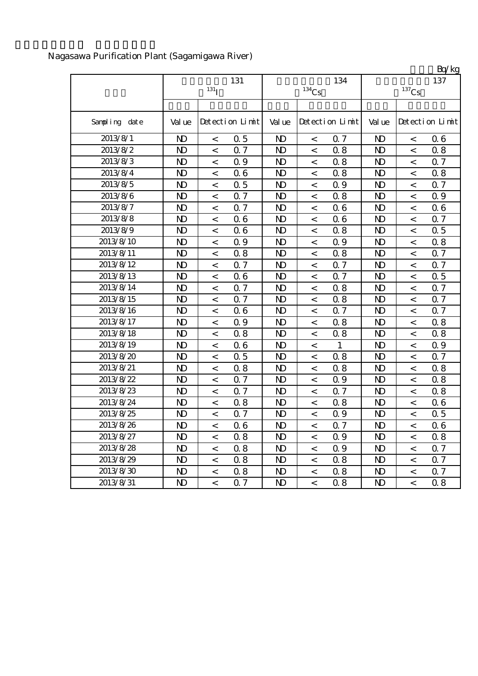|               |                |                    |                 |                |                     |                 |                     |                          | Bq/kg           |  |
|---------------|----------------|--------------------|-----------------|----------------|---------------------|-----------------|---------------------|--------------------------|-----------------|--|
|               |                |                    | 131             |                |                     | 137             |                     |                          |                 |  |
|               |                | $131$ <sup>T</sup> |                 |                | $^{134}\mathrm{Cs}$ |                 | $^{137}\mathrm{Cs}$ |                          |                 |  |
|               |                |                    |                 |                |                     |                 |                     |                          |                 |  |
| Sampling date | Val ue         |                    | Detection Limit | Val ue         |                     | Detection Limit | Val ue              |                          | Detection Limit |  |
| 2013/8/1      | N <sub>D</sub> | $\,<$              | 0.5             | $\mathbf{D}$   | $\,<$               | Q 7             | N <sub>D</sub>      | $\,<$                    | 0.6             |  |
| 2013/8/2      | $\mathbf{D}$   | $\,<$              | 0.7             | N <sub>D</sub> | $\lt$               | 0.8             | N <sub>D</sub>      | $\lt$                    | 0.8             |  |
| 2013/8/3      | N <sub>D</sub> | $\,<$              | Q 9             | N <sub>D</sub> | $\,<$               | 0.8             | N <sub>D</sub>      | $\lt$                    | 0.7             |  |
| 2013/8/4      | N <sub>D</sub> | $\,<\,$            | 06              | N <sub>D</sub> | $\,<$               | 0.8             | N <sub>D</sub>      | $\,<\,$                  | 0.8             |  |
| 2013/8/5      | $\mathbf{D}$   | $\,<\,$            | 0.5             | N <sub>D</sub> | $\,<\,$             | Q 9             | $\mathbf{D}$        | $\,<\,$                  | 0.7             |  |
| 2013/8/6      | N <sub>D</sub> | $\,<\,$            | 0.7             | N <sub>D</sub> | $\,<$               | 0.8             | N <sub>D</sub>      | $\,<$                    | 0.9             |  |
| 2013/8/7      | $\mathbf{D}$   | $\,<$              | 0.7             | N <sub>D</sub> | $\,<$               | 06              | N <sub>D</sub>      | $\,<\,$                  | 0.6             |  |
| 2013/8/8      | N <sub>D</sub> | $\,<\,$            | 06              | N <sub>D</sub> | $\,<$               | 06              | N <sub>D</sub>      | $\,<$                    | 0.7             |  |
| 2013/8/9      | $\mathbf{D}$   | $\,<$              | 06              | N <sub>D</sub> | $\,<$               | 0.8             | N <sub>D</sub>      | $\,<$                    | 0.5             |  |
| 2013/8/10     | $\mathbf{D}$   | $\,<\,$            | Q 9             | N <sub>D</sub> | $\,<$               | 0.9             | $\mathbf{D}$        | $\,<\,$                  | 0.8             |  |
| 2013/8/11     | $\mathbf{D}$   | $\,<$              | 0.8             | N <sub>D</sub> | $\,<$               | 0.8             | N <sub>D</sub>      | $\overline{a}$           | 0.7             |  |
| 2013/8/12     | $\mathbf{D}$   | $\,<$              | 0.7             | N <sub>D</sub> | $\,<\,$             | 0.7             | N <sub>D</sub>      | $\,<\,$                  | 0.7             |  |
| 2013/8/13     | $\mathbf{D}$   | $\,<$              | 06              | $\mathbf{D}$   | $\,<$               | 0.7             | $\mathbf{D}$        | $\,<\,$                  | 0.5             |  |
| 2013/8/14     | N <sub>D</sub> | $\,<$              | 0.7             | N <sub>D</sub> | $\,<$               | 0.8             | N <sub>D</sub>      | $\,<$                    | 0.7             |  |
| 2013/8/15     | N <sub>D</sub> | $\,<$              | 0.7             | N <sub>D</sub> | $\,<$               | 0.8             | N <sub>D</sub>      | $\,<$                    | 0.7             |  |
| 2013/8/16     | $\mathbf{D}$   | $\,<\,$            | 06              | N <sub>D</sub> | $\,<$               | Q 7             | N <sub>D</sub>      | $\,<$                    | 0.7             |  |
| 2013/8/17     | $\mathbf{D}$   | $\,<$              | 0.9             | N <sub>D</sub> | $\,<$               | 0.8             | N <sub>D</sub>      | $\,<\,$                  | 0.8             |  |
| 2013/8/18     | $\mathbf{D}$   | $\,<\,$            | 0.8             | $\mathbf{D}$   | $\,<\,$             | 0.8             | N <sub>D</sub>      | $\,<\,$                  | 0.8             |  |
| 2013/8/19     | N <sub>D</sub> | $\,<\,$            | 06              | N <sub>D</sub> | $\,<$               | $\mathbf{1}$    | N <sub>D</sub>      | $\lt$                    | 0.9             |  |
| 2013/8/20     | $\mathbf{D}$   | $\,<\,$            | 0.5             | N <sub>D</sub> | $\,<$               | 0.8             | N <sub>D</sub>      | $\,<\,$                  | 0.7             |  |
| 2013/8/21     | $\mathbf{D}$   | $\,<\,$            | 0.8             | $\mathbf{D}$   | $\,<$               | 0.8             | $\mathbf{D}$        | $\lt$                    | 0.8             |  |
| 2013/8/22     | $\mathbf{D}$   | $\,<$              | 0.7             | N <sub>D</sub> | $\,<$               | 0.9             | N <sub>D</sub>      | $\,<\,$                  | 0.8             |  |
| 2013/8/23     | N <sub>D</sub> | $\,<\,$            | Q 7             | N <sub>D</sub> | $\,<$               | 0.7             | N <sub>D</sub>      | $\,<\,$                  | 0.8             |  |
| 2013/8/24     | N <sub>D</sub> | $\,<\,$            | 0.8             | N <sub>D</sub> | $\,<$               | 0.8             | N <sub>D</sub>      | $\,<$                    | 0.6             |  |
| 2013/8/25     | N <sub>D</sub> | $\,<\,$            | 0.7             | N <sub>D</sub> | $\,<$               | 0.9             | N <sub>D</sub>      | $\,<\,$                  | 0.5             |  |
| 2013/8/26     | N <sub>D</sub> | $\,<$              | 06              | $\mathbf{D}$   | $\,<$               | Q 7             | N <sub>D</sub>      | $\,<\,$                  | 06              |  |
| 2013/8/27     | $\mathbf{D}$   | $\,<$              | 0.8             | N <sub>D</sub> | $\,<$               | 0.9             | $\mathbf{D}$        | $\overline{\phantom{a}}$ | 0.8             |  |
| 2013/8/28     | $\mathbf{D}$   | $\,<$              | 0.8             | ND.            | $\,<$               | 0.9             | $\mathbf{D}$        | $\,<$                    | 0.7             |  |
| 2013/8/29     | $\mathbf{D}$   | $\,<\,$            | 0.8             | N <sub>D</sub> | $\,<\,$             | 0.8             | N <sub>D</sub>      | $\,<$                    | 0.7             |  |
| 2013/8/30     | $\mathbf{D}$   | $\,<$              | 0.8             | ND.            | $\,<$               | 0.8             | N <sub>D</sub>      | $\,<$                    | 0.7             |  |
| 2013/8/31     | $\mathbf{D}$   | $\,<\,$            | Q 7             | $\mathbf{D}$   | $\,<$               | 0.8             | $\mathbf{D}$        | $\overline{\phantom{a}}$ | 0.8             |  |

# Nagasawa Purification Plant (Sagamigawa River)